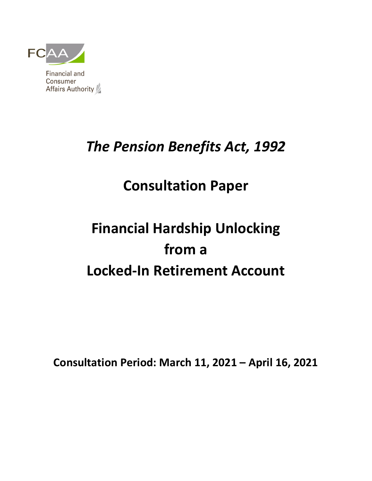

# *The Pension Benefits Act, 1992*

# **Consultation Paper**

# **Financial Hardship Unlocking from a Locked-In Retirement Account**

**Consultation Period: March 11, 2021 – April 16, 2021**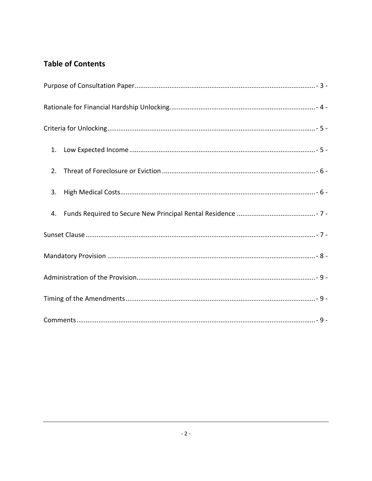# **Table of Contents**

| 1. |
|----|
| 2. |
| 3. |
| 4. |
|    |
|    |
|    |
|    |
|    |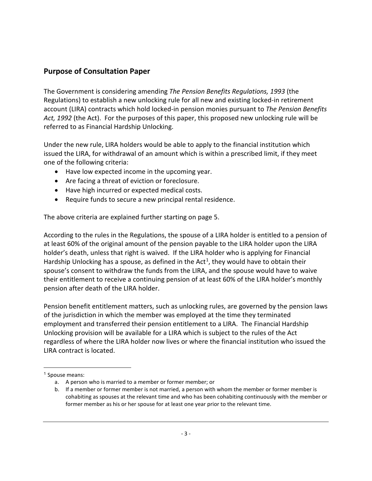# <span id="page-2-0"></span>**Purpose of Consultation Paper**

The Government is considering amending *The Pension Benefits Regulations, 1993* (the Regulations) to establish a new unlocking rule for all new and existing locked-in retirement account (LIRA) contracts which hold locked-in pension monies pursuant to *The Pension Benefits Act, 1992* (the Act). For the purposes of this paper, this proposed new unlocking rule will be referred to as Financial Hardship Unlocking.

Under the new rule, LIRA holders would be able to apply to the financial institution which issued the LIRA, for withdrawal of an amount which is within a prescribed limit, if they meet one of the following criteria:

- Have low expected income in the upcoming year.
- Are facing a threat of eviction or foreclosure.
- Have high incurred or expected medical costs.
- Require funds to secure a new principal rental residence.

The above criteria are explained further starting on page 5.

According to the rules in the Regulations, the spouse of a LIRA holder is entitled to a pension of at least 60% of the original amount of the pension payable to the LIRA holder upon the LIRA holder's death, unless that right is waived. If the LIRA holder who is applying for Financial Hardship Unlocking has a spouse, as defined in the Act<sup>[1](#page-2-1)</sup>, they would have to obtain their spouse's consent to withdraw the funds from the LIRA, and the spouse would have to waive their entitlement to receive a continuing pension of at least 60% of the LIRA holder's monthly pension after death of the LIRA holder.

Pension benefit entitlement matters, such as unlocking rules, are governed by the pension laws of the jurisdiction in which the member was employed at the time they terminated employment and transferred their pension entitlement to a LIRA. The Financial Hardship Unlocking provision will be available for a LIRA which is subject to the rules of the Act regardless of where the LIRA holder now lives or where the financial institution who issued the LIRA contract is located.

<span id="page-2-1"></span> <sup>1</sup> Spouse means:

a. A person who is married to a member or former member; or

b. If a member or former member is not married, a person with whom the member or former member is cohabiting as spouses at the relevant time and who has been cohabiting continuously with the member or former member as his or her spouse for at least one year prior to the relevant time.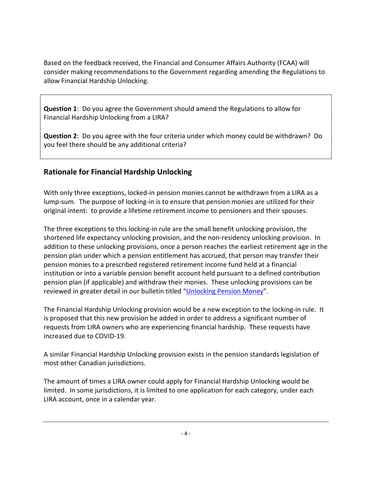Based on the feedback received, the Financial and Consumer Affairs Authority (FCAA) will consider making recommendations to the Government regarding amending the Regulations to allow Financial Hardship Unlocking.

**Question 1**: Do you agree the Government should amend the Regulations to allow for Financial Hardship Unlocking from a LIRA?

**Question 2**: Do you agree with the four criteria under which money could be withdrawn? Do you feel there should be any additional criteria?

# <span id="page-3-0"></span>**Rationale for Financial Hardship Unlocking**

With only three exceptions, locked-in pension monies cannot be withdrawn from a LIRA as a lump-sum. The purpose of locking-in is to ensure that pension monies are utilized for their original intent: to provide a lifetime retirement income to pensioners and their spouses.

The three exceptions to this locking-in rule are the small benefit unlocking provision, the shortened life expectancy unlocking provision, and the non-residency unlocking provision. In addition to these unlocking provisions, once a person reaches the earliest retirement age in the pension plan under which a pension entitlement has accrued, that person may transfer their pension monies to a prescribed registered retirement income fund held at a financial institution or into a variable pension benefit account held pursuant to a defined contribution pension plan (if applicable) and withdraw their monies. These unlocking provisions can be reviewed in greater detail in our bulletin titled ["Unlocking Pension Money"](https://fcaa.gov.sk.ca/public/CKeditorUpload/Pensions/Bulletin_-_Unlocking_Pension_Money_(2021).pdf).

The Financial Hardship Unlocking provision would be a new exception to the locking-in rule. It is proposed that this new provision be added in order to address a significant number of requests from LIRA owners who are experiencing financial hardship. These requests have increased due to COVID-19.

A similar Financial Hardship Unlocking provision exists in the pension standards legislation of most other Canadian jurisdictions.

The amount of times a LIRA owner could apply for Financial Hardship Unlocking would be limited. In some jurisdictions, it is limited to one application for each category, under each LIRA account, once in a calendar year.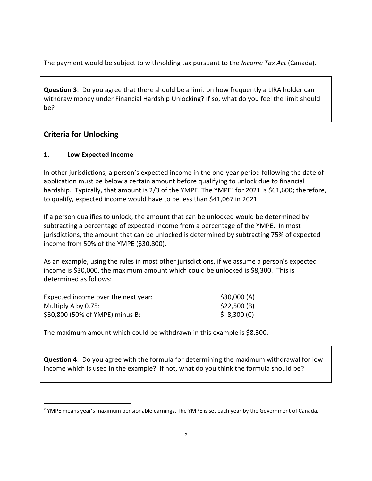The payment would be subject to withholding tax pursuant to the *Income Tax Act* (Canada).

**Question 3**: Do you agree that there should be a limit on how frequently a LIRA holder can withdraw money under Financial Hardship Unlocking? If so, what do you feel the limit should be?

# <span id="page-4-0"></span>**Criteria for Unlocking**

#### <span id="page-4-1"></span>**1. Low Expected Income**

In other jurisdictions, a person's expected income in the one-year period following the date of application must be below a certain amount before qualifying to unlock due to financial hardship. Typically, that amount is [2](#page-4-2)/3 of the YMPE. The YMPE<sup>2</sup> for 2021 is \$61,600; therefore, to qualify, expected income would have to be less than \$41,067 in 2021.

If a person qualifies to unlock, the amount that can be unlocked would be determined by subtracting a percentage of expected income from a percentage of the YMPE. In most jurisdictions, the amount that can be unlocked is determined by subtracting 75% of expected income from 50% of the YMPE (\$30,800).

As an example, using the rules in most other jurisdictions, if we assume a person's expected income is \$30,000, the maximum amount which could be unlocked is \$8,300. This is determined as follows:

| Expected income over the next year: | \$30,000 (A) |
|-------------------------------------|--------------|
| Multiply A by 0.75:                 | \$22,500 (B) |
| \$30,800 (50% of YMPE) minus B:     | \$8,300(C)   |

The maximum amount which could be withdrawn in this example is \$8,300.

**Question 4**: Do you agree with the formula for determining the maximum withdrawal for low income which is used in the example? If not, what do you think the formula should be?

<span id="page-4-2"></span> $\overline{a}$ <sup>2</sup> YMPE means year's maximum pensionable earnings. The YMPE is set each year by the Government of Canada.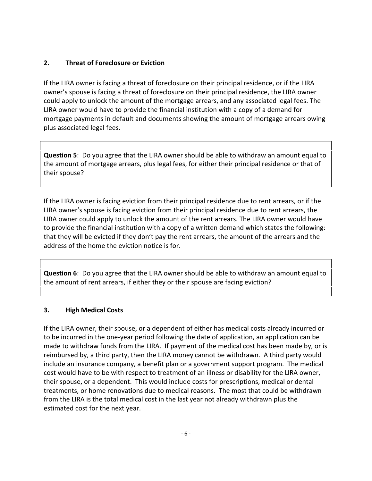#### <span id="page-5-0"></span>**2. Threat of Foreclosure or Eviction**

If the LIRA owner is facing a threat of foreclosure on their principal residence, or if the LIRA owner's spouse is facing a threat of foreclosure on their principal residence, the LIRA owner could apply to unlock the amount of the mortgage arrears, and any associated legal fees. The LIRA owner would have to provide the financial institution with a copy of a demand for mortgage payments in default and documents showing the amount of mortgage arrears owing plus associated legal fees.

**Question 5**: Do you agree that the LIRA owner should be able to withdraw an amount equal to the amount of mortgage arrears, plus legal fees, for either their principal residence or that of their spouse?

If the LIRA owner is facing eviction from their principal residence due to rent arrears, or if the LIRA owner's spouse is facing eviction from their principal residence due to rent arrears, the LIRA owner could apply to unlock the amount of the rent arrears. The LIRA owner would have to provide the financial institution with a copy of a written demand which states the following: that they will be evicted if they don't pay the rent arrears, the amount of the arrears and the address of the home the eviction notice is for.

**Question 6**: Do you agree that the LIRA owner should be able to withdraw an amount equal to the amount of rent arrears, if either they or their spouse are facing eviction?

# <span id="page-5-1"></span>**3. High Medical Costs**

If the LIRA owner, their spouse, or a dependent of either has medical costs already incurred or to be incurred in the one-year period following the date of application, an application can be made to withdraw funds from the LIRA. If payment of the medical cost has been made by, or is reimbursed by, a third party, then the LIRA money cannot be withdrawn. A third party would include an insurance company, a benefit plan or a government support program. The medical cost would have to be with respect to treatment of an illness or disability for the LIRA owner, their spouse, or a dependent. This would include costs for prescriptions, medical or dental treatments, or home renovations due to medical reasons. The most that could be withdrawn from the LIRA is the total medical cost in the last year not already withdrawn plus the estimated cost for the next year.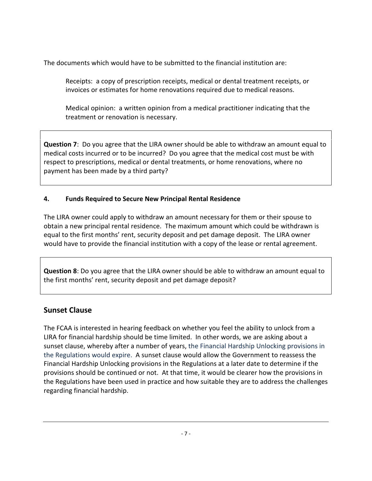The documents which would have to be submitted to the financial institution are:

Receipts: a copy of prescription receipts, medical or dental treatment receipts, or invoices or estimates for home renovations required due to medical reasons.

Medical opinion: a written opinion from a medical practitioner indicating that the treatment or renovation is necessary.

**Question 7**: Do you agree that the LIRA owner should be able to withdraw an amount equal to medical costs incurred or to be incurred? Do you agree that the medical cost must be with respect to prescriptions, medical or dental treatments, or home renovations, where no payment has been made by a third party?

#### <span id="page-6-0"></span>**4. Funds Required to Secure New Principal Rental Residence**

The LIRA owner could apply to withdraw an amount necessary for them or their spouse to obtain a new principal rental residence. The maximum amount which could be withdrawn is equal to the first months' rent, security deposit and pet damage deposit. The LIRA owner would have to provide the financial institution with a copy of the lease or rental agreement.

**Question 8**: Do you agree that the LIRA owner should be able to withdraw an amount equal to the first months' rent, security deposit and pet damage deposit?

# <span id="page-6-1"></span>**Sunset Clause**

The FCAA is interested in hearing feedback on whether you feel the ability to unlock from a LIRA for financial hardship should be time limited. In other words, we are asking about a sunset clause, whereby after a number of years, the Financial Hardship Unlocking provisions in the Regulations would expire. A sunset clause would allow the Government to reassess the Financial Hardship Unlocking provisions in the Regulations at a later date to determine if the provisions should be continued or not. At that time, it would be clearer how the provisions in the Regulations have been used in practice and how suitable they are to address the challenges regarding financial hardship.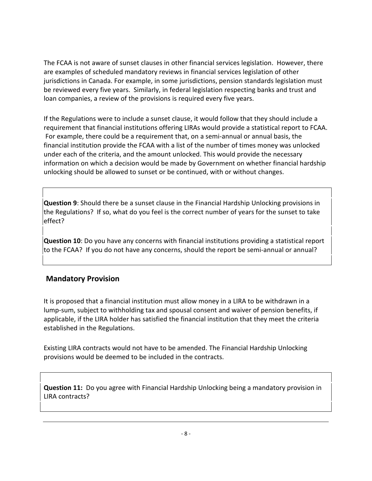The FCAA is not aware of sunset clauses in other financial services legislation. However, there are examples of scheduled mandatory reviews in financial services legislation of other jurisdictions in Canada. For example, in some jurisdictions, pension standards legislation must be reviewed every five years. Similarly, in federal legislation respecting banks and trust and loan companies, a review of the provisions is required every five years.

If the Regulations were to include a sunset clause, it would follow that they should include a requirement that financial institutions offering LIRAs would provide a statistical report to FCAA. For example, there could be a requirement that, on a semi-annual or annual basis, the financial institution provide the FCAA with a list of the number of times money was unlocked under each of the criteria, and the amount unlocked. This would provide the necessary information on which a decision would be made by Government on whether financial hardship unlocking should be allowed to sunset or be continued, with or without changes.

**Question 9**: Should there be a sunset clause in the Financial Hardship Unlocking provisions in the Regulations? If so, what do you feel is the correct number of years for the sunset to take effect?

**Question 10**: Do you have any concerns with financial institutions providing a statistical report to the FCAA? If you do not have any concerns, should the report be semi-annual or annual?

# <span id="page-7-0"></span>**Mandatory Provision**

It is proposed that a financial institution must allow money in a LIRA to be withdrawn in a lump-sum, subject to withholding tax and spousal consent and waiver of pension benefits, if applicable, if the LIRA holder has satisfied the financial institution that they meet the criteria established in the Regulations.

Existing LIRA contracts would not have to be amended. The Financial Hardship Unlocking provisions would be deemed to be included in the contracts.

**Question 11:** Do you agree with Financial Hardship Unlocking being a mandatory provision in LIRA contracts?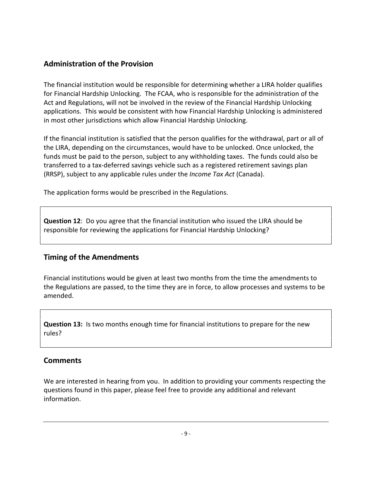# <span id="page-8-0"></span>**Administration of the Provision**

The financial institution would be responsible for determining whether a LIRA holder qualifies for Financial Hardship Unlocking. The FCAA, who is responsible for the administration of the Act and Regulations, will not be involved in the review of the Financial Hardship Unlocking applications. This would be consistent with how Financial Hardship Unlocking is administered in most other jurisdictions which allow Financial Hardship Unlocking.

If the financial institution is satisfied that the person qualifies for the withdrawal, part or all of the LIRA, depending on the circumstances, would have to be unlocked. Once unlocked, the funds must be paid to the person, subject to any withholding taxes. The funds could also be transferred to a tax-deferred savings vehicle such as a registered retirement savings plan (RRSP), subject to any applicable rules under the *Income Tax Act* (Canada).

The application forms would be prescribed in the Regulations.

**Question 12**: Do you agree that the financial institution who issued the LIRA should be responsible for reviewing the applications for Financial Hardship Unlocking?

# <span id="page-8-1"></span>**Timing of the Amendments**

Financial institutions would be given at least two months from the time the amendments to the Regulations are passed, to the time they are in force, to allow processes and systems to be amended.

**Question 13:** Is two months enough time for financial institutions to prepare for the new rules?

# <span id="page-8-2"></span>**Comments**

We are interested in hearing from you. In addition to providing your comments respecting the questions found in this paper, please feel free to provide any additional and relevant information.